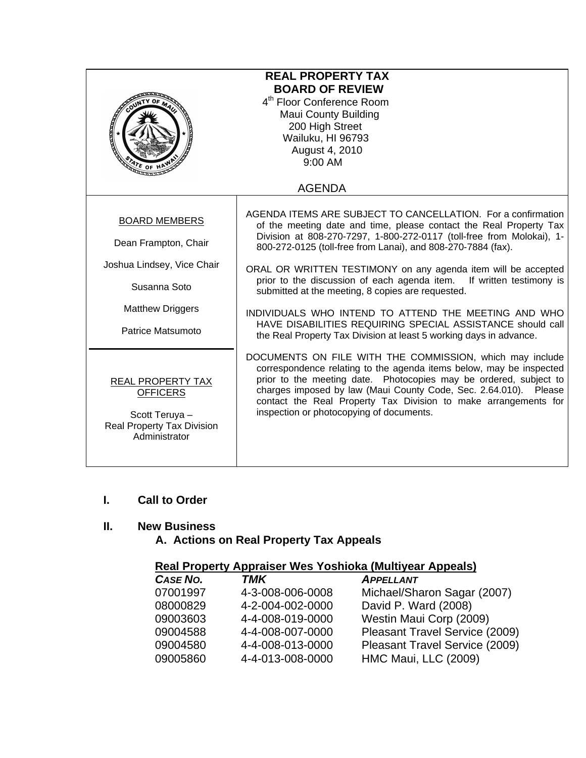| <b>REAL PROPERTY TAX</b><br><b>BOARD OF REVIEW</b><br>4 <sup>th</sup> Floor Conference Room<br><b>Maui County Building</b><br>200 High Street<br>Wailuku, HI 96793<br>August 4, 2010<br>9:00 AM<br>$\frac{d}{dt}$ of |                                                                                                                                                                                                                                                                                                                                                                                                                                                                                                                                                                                                                                                                          |  |
|----------------------------------------------------------------------------------------------------------------------------------------------------------------------------------------------------------------------|--------------------------------------------------------------------------------------------------------------------------------------------------------------------------------------------------------------------------------------------------------------------------------------------------------------------------------------------------------------------------------------------------------------------------------------------------------------------------------------------------------------------------------------------------------------------------------------------------------------------------------------------------------------------------|--|
| <b>AGENDA</b>                                                                                                                                                                                                        |                                                                                                                                                                                                                                                                                                                                                                                                                                                                                                                                                                                                                                                                          |  |
| <b>BOARD MEMBERS</b><br>Dean Frampton, Chair<br>Joshua Lindsey, Vice Chair<br>Susanna Soto<br><b>Matthew Driggers</b><br>Patrice Matsumoto                                                                           | AGENDA ITEMS ARE SUBJECT TO CANCELLATION. For a confirmation<br>of the meeting date and time, please contact the Real Property Tax<br>Division at 808-270-7297, 1-800-272-0117 (toll-free from Molokai), 1-<br>800-272-0125 (toll-free from Lanai), and 808-270-7884 (fax).<br>ORAL OR WRITTEN TESTIMONY on any agenda item will be accepted<br>prior to the discussion of each agenda item.<br>If written testimony is<br>submitted at the meeting, 8 copies are requested.<br>INDIVIDUALS WHO INTEND TO ATTEND THE MEETING AND WHO<br>HAVE DISABILITIES REQUIRING SPECIAL ASSISTANCE should call<br>the Real Property Tax Division at least 5 working days in advance. |  |
| <b>REAL PROPERTY TAX</b><br><b>OFFICERS</b><br>Scott Teruya -<br><b>Real Property Tax Division</b><br>Administrator                                                                                                  | DOCUMENTS ON FILE WITH THE COMMISSION, which may include<br>correspondence relating to the agenda items below, may be inspected<br>prior to the meeting date. Photocopies may be ordered, subject to<br>charges imposed by law (Maui County Code, Sec. 2.64.010). Please<br>contact the Real Property Tax Division to make arrangements for<br>inspection or photocopying of documents.                                                                                                                                                                                                                                                                                  |  |

## **I. Call to Order**

## **II. New Business**

 **A. Actions on Real Property Tax Appeals** 

# **Real Property Appraiser Wes Yoshioka (Multiyear Appeals)**

| CASE NO. | <b>TMK</b>       | <b>APPELLANT</b>               |
|----------|------------------|--------------------------------|
| 07001997 | 4-3-008-006-0008 | Michael/Sharon Sagar (2007)    |
| 08000829 | 4-2-004-002-0000 | David P. Ward (2008)           |
| 09003603 | 4-4-008-019-0000 | Westin Maui Corp (2009)        |
| 09004588 | 4-4-008-007-0000 | Pleasant Travel Service (2009) |
| 09004580 | 4-4-008-013-0000 | Pleasant Travel Service (2009) |
| 09005860 | 4-4-013-008-0000 | HMC Maui, LLC (2009)           |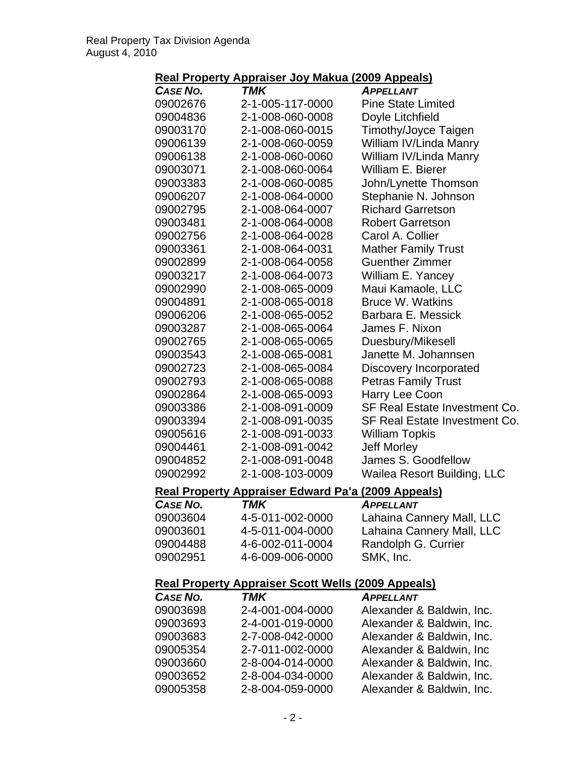# **Real Property Appraiser Joy Makua (2009 Appeals)**

| <b>CASE NO.</b>                                           | TMK                                                        | <b>APPELLANT</b>              |  |
|-----------------------------------------------------------|------------------------------------------------------------|-------------------------------|--|
| 09002676                                                  | 2-1-005-117-0000                                           | <b>Pine State Limited</b>     |  |
| 09004836                                                  | 2-1-008-060-0008                                           | Doyle Litchfield              |  |
| 09003170                                                  | 2-1-008-060-0015                                           | <b>Timothy/Joyce Taigen</b>   |  |
| 09006139                                                  | 2-1-008-060-0059                                           | William IV/Linda Manry        |  |
| 09006138                                                  | 2-1-008-060-0060                                           | William IV/Linda Manry        |  |
| 09003071                                                  | 2-1-008-060-0064                                           | William E. Bierer             |  |
| 09003383                                                  | 2-1-008-060-0085                                           | John/Lynette Thomson          |  |
| 09006207                                                  | 2-1-008-064-0000                                           | Stephanie N. Johnson          |  |
| 09002795                                                  | 2-1-008-064-0007                                           | <b>Richard Garretson</b>      |  |
| 09003481                                                  | 2-1-008-064-0008                                           | <b>Robert Garretson</b>       |  |
| 09002756                                                  | 2-1-008-064-0028                                           | Carol A. Collier              |  |
| 09003361                                                  | 2-1-008-064-0031                                           | <b>Mather Family Trust</b>    |  |
| 09002899                                                  | 2-1-008-064-0058                                           | <b>Guenther Zimmer</b>        |  |
| 09003217                                                  | 2-1-008-064-0073                                           | William E. Yancey             |  |
| 09002990                                                  | 2-1-008-065-0009                                           | Maui Kamaole, LLC             |  |
| 09004891                                                  | 2-1-008-065-0018                                           | <b>Bruce W. Watkins</b>       |  |
| 09006206                                                  | 2-1-008-065-0052                                           | Barbara E. Messick            |  |
| 09003287                                                  | 2-1-008-065-0064                                           | James F. Nixon                |  |
| 09002765                                                  | 2-1-008-065-0065                                           | Duesbury/Mikesell             |  |
| 09003543                                                  | 2-1-008-065-0081                                           | Janette M. Johannsen          |  |
| 09002723                                                  | 2-1-008-065-0084                                           | Discovery Incorporated        |  |
| 09002793                                                  | 2-1-008-065-0088                                           | <b>Petras Family Trust</b>    |  |
| 09002864                                                  | 2-1-008-065-0093                                           | Harry Lee Coon                |  |
| 09003386                                                  | 2-1-008-091-0009                                           | SF Real Estate Investment Co. |  |
| 09003394                                                  | 2-1-008-091-0035                                           | SF Real Estate Investment Co. |  |
| 09005616                                                  | 2-1-008-091-0033                                           | <b>William Topkis</b>         |  |
| 09004461                                                  | 2-1-008-091-0042                                           | <b>Jeff Morley</b>            |  |
| 09004852                                                  | 2-1-008-091-0048                                           | James S. Goodfellow           |  |
| 09002992                                                  | 2-1-008-103-0009                                           | Wailea Resort Building, LLC   |  |
|                                                           | <u> Real Property Appraiser Edward Pa'a (2009 Appeals)</u> |                               |  |
| <b>CASE NO.</b>                                           | TMK                                                        | <b>APPELLANT</b>              |  |
| 09003604                                                  | 4-5-011-002-0000                                           | Lahaina Cannery Mall, LLC     |  |
| 09003601                                                  | 4-5-011-004-0000                                           | Lahaina Cannery Mall, LLC     |  |
| 09004488                                                  | 4-6-002-011-0004                                           | Randolph G. Currier           |  |
| 09002951                                                  | 4-6-009-006-0000                                           | SMK, Inc.                     |  |
| <b>Real Property Appraiser Scott Wells (2009 Appeals)</b> |                                                            |                               |  |
| CASE NO.                                                  | <b>TMK</b>                                                 | <b>APPELLANT</b>              |  |
| 09003698                                                  | 2-4-001-004-0000                                           | Alexander & Baldwin, Inc.     |  |
| 09003693                                                  | 2-4-001-019-0000                                           | Alexander & Baldwin, Inc.     |  |
| 09003683                                                  | 2-7-008-042-0000                                           | Alexander & Baldwin, Inc.     |  |
| 09005354                                                  | 2-7-011-002-0000                                           | Alexander & Baldwin, Inc.     |  |
| 09003660                                                  | 2-8-004-014-0000                                           | Alexander & Baldwin, Inc.     |  |
| 09003652                                                  | 2-8-004-034-0000                                           | Alexander & Baldwin, Inc.     |  |
| 09005358                                                  | 2-8-004-059-0000                                           | Alexander & Baldwin, Inc.     |  |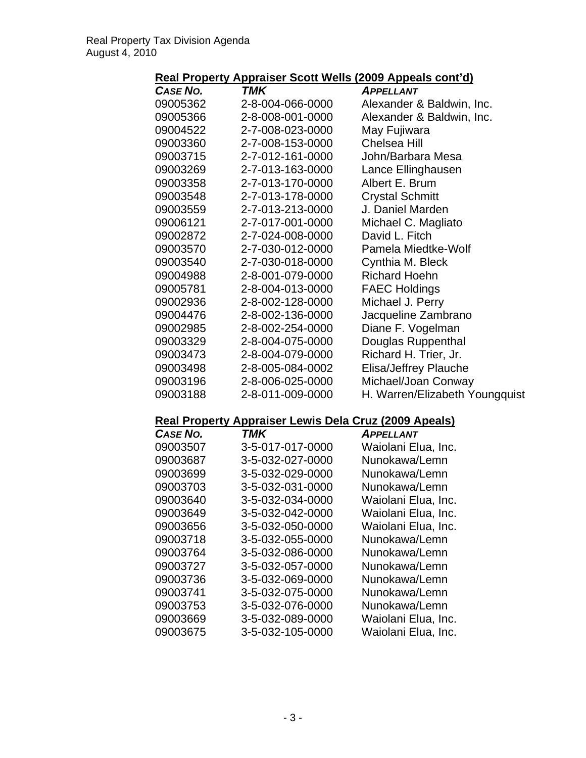## **Real Property Appraiser Scott Wells (2009 Appeals cont'd)**

| <b>CASE NO.</b> | TMK              | <b>APPELLANT</b>               |
|-----------------|------------------|--------------------------------|
| 09005362        | 2-8-004-066-0000 | Alexander & Baldwin, Inc.      |
| 09005366        | 2-8-008-001-0000 | Alexander & Baldwin, Inc.      |
| 09004522        | 2-7-008-023-0000 | May Fujiwara                   |
| 09003360        | 2-7-008-153-0000 | <b>Chelsea Hill</b>            |
| 09003715        | 2-7-012-161-0000 | John/Barbara Mesa              |
| 09003269        | 2-7-013-163-0000 | Lance Ellinghausen             |
| 09003358        | 2-7-013-170-0000 | Albert E. Brum                 |
| 09003548        | 2-7-013-178-0000 | <b>Crystal Schmitt</b>         |
| 09003559        | 2-7-013-213-0000 | J. Daniel Marden               |
| 09006121        | 2-7-017-001-0000 | Michael C. Magliato            |
| 09002872        | 2-7-024-008-0000 | David L. Fitch                 |
| 09003570        | 2-7-030-012-0000 | Pamela Miedtke-Wolf            |
| 09003540        | 2-7-030-018-0000 | Cynthia M. Bleck               |
| 09004988        | 2-8-001-079-0000 | <b>Richard Hoehn</b>           |
| 09005781        | 2-8-004-013-0000 | <b>FAEC Holdings</b>           |
| 09002936        | 2-8-002-128-0000 | Michael J. Perry               |
| 09004476        | 2-8-002-136-0000 | Jacqueline Zambrano            |
| 09002985        | 2-8-002-254-0000 | Diane F. Vogelman              |
| 09003329        | 2-8-004-075-0000 | Douglas Ruppenthal             |
| 09003473        | 2-8-004-079-0000 | Richard H. Trier, Jr.          |
| 09003498        | 2-8-005-084-0002 | Elisa/Jeffrey Plauche          |
| 09003196        | 2-8-006-025-0000 | Michael/Joan Conway            |
| 09003188        | 2-8-011-009-0000 | H. Warren/Elizabeth Youngquist |

## **Real Property Appraiser Lewis Dela Cruz (2009 Apeals)**

| CASE NO. | TMK              | APPELLANT           |
|----------|------------------|---------------------|
| 09003507 | 3-5-017-017-0000 | Waiolani Elua, Inc. |
| 09003687 | 3-5-032-027-0000 | Nunokawa/Lemn       |
| 09003699 | 3-5-032-029-0000 | Nunokawa/Lemn       |
| 09003703 | 3-5-032-031-0000 | Nunokawa/Lemn       |
| 09003640 | 3-5-032-034-0000 | Waiolani Elua, Inc. |
| 09003649 | 3-5-032-042-0000 | Waiolani Elua, Inc. |
| 09003656 | 3-5-032-050-0000 | Waiolani Elua, Inc. |
| 09003718 | 3-5-032-055-0000 | Nunokawa/Lemn       |
| 09003764 | 3-5-032-086-0000 | Nunokawa/Lemn       |
| 09003727 | 3-5-032-057-0000 | Nunokawa/Lemn       |
| 09003736 | 3-5-032-069-0000 | Nunokawa/Lemn       |
| 09003741 | 3-5-032-075-0000 | Nunokawa/Lemn       |
| 09003753 | 3-5-032-076-0000 | Nunokawa/Lemn       |
| 09003669 | 3-5-032-089-0000 | Waiolani Elua, Inc. |
| 09003675 | 3-5-032-105-0000 | Waiolani Elua, Inc. |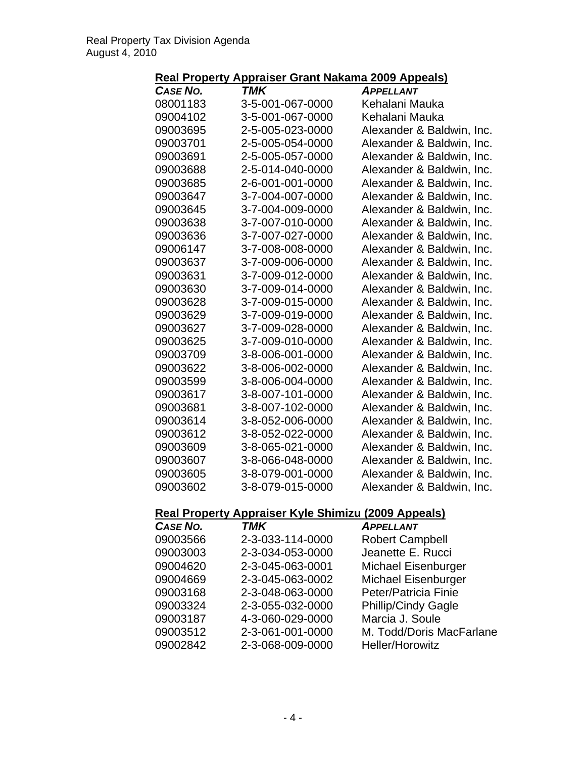### **Real Property Appraiser Grant Nakama 2009 Appeals)**

| .                                                          | <u>Tippiulou</u> | <u>Stant Nanama 2000 Appoaloj</u> |
|------------------------------------------------------------|------------------|-----------------------------------|
| <b>CASE NO.</b>                                            | TMK              | <b>APPELLANT</b>                  |
| 08001183                                                   | 3-5-001-067-0000 | Kehalani Mauka                    |
| 09004102                                                   | 3-5-001-067-0000 | Kehalani Mauka                    |
| 09003695                                                   | 2-5-005-023-0000 | Alexander & Baldwin, Inc.         |
| 09003701                                                   | 2-5-005-054-0000 | Alexander & Baldwin, Inc.         |
| 09003691                                                   | 2-5-005-057-0000 | Alexander & Baldwin, Inc.         |
| 09003688                                                   | 2-5-014-040-0000 | Alexander & Baldwin, Inc.         |
| 09003685                                                   | 2-6-001-001-0000 | Alexander & Baldwin, Inc.         |
| 09003647                                                   | 3-7-004-007-0000 | Alexander & Baldwin, Inc.         |
| 09003645                                                   | 3-7-004-009-0000 | Alexander & Baldwin, Inc.         |
| 09003638                                                   | 3-7-007-010-0000 | Alexander & Baldwin, Inc.         |
| 09003636                                                   | 3-7-007-027-0000 | Alexander & Baldwin, Inc.         |
| 09006147                                                   | 3-7-008-008-0000 | Alexander & Baldwin, Inc.         |
| 09003637                                                   | 3-7-009-006-0000 | Alexander & Baldwin, Inc.         |
| 09003631                                                   | 3-7-009-012-0000 | Alexander & Baldwin, Inc.         |
| 09003630                                                   | 3-7-009-014-0000 | Alexander & Baldwin, Inc.         |
| 09003628                                                   | 3-7-009-015-0000 | Alexander & Baldwin, Inc.         |
| 09003629                                                   | 3-7-009-019-0000 | Alexander & Baldwin, Inc.         |
| 09003627                                                   | 3-7-009-028-0000 | Alexander & Baldwin, Inc.         |
| 09003625                                                   | 3-7-009-010-0000 | Alexander & Baldwin, Inc.         |
| 09003709                                                   | 3-8-006-001-0000 | Alexander & Baldwin, Inc.         |
| 09003622                                                   | 3-8-006-002-0000 | Alexander & Baldwin, Inc.         |
| 09003599                                                   | 3-8-006-004-0000 | Alexander & Baldwin, Inc.         |
| 09003617                                                   | 3-8-007-101-0000 | Alexander & Baldwin, Inc.         |
| 09003681                                                   | 3-8-007-102-0000 | Alexander & Baldwin, Inc.         |
| 09003614                                                   | 3-8-052-006-0000 | Alexander & Baldwin, Inc.         |
| 09003612                                                   | 3-8-052-022-0000 | Alexander & Baldwin, Inc.         |
| 09003609                                                   | 3-8-065-021-0000 | Alexander & Baldwin, Inc.         |
| 09003607                                                   | 3-8-066-048-0000 | Alexander & Baldwin, Inc.         |
| 09003605                                                   | 3-8-079-001-0000 | Alexander & Baldwin, Inc.         |
| 09003602                                                   | 3-8-079-015-0000 | Alexander & Baldwin, Inc.         |
| <b>Real Property Appraiser Kyle Shimizu (2009 Appeals)</b> |                  |                                   |
| <b>CASE NO.</b>                                            | <b>TMK</b>       | <b>APPELLANT</b>                  |
| 09003566                                                   | 2-3-033-114-0000 | <b>Robert Campbell</b>            |
| 09003003                                                   | 2-3-034-053-0000 | Jeanette E. Rucci                 |
| 09004620                                                   | 2-3-045-063-0001 | <b>Michael Eisenburger</b>        |
| 09004669                                                   | 2-3-045-063-0002 | Michael Eisenburger               |

09002842 2-3-068-009-0000 Heller/Horowitz

09003168 2-3-048-063-0000 Peter/Patricia Finie 09003324 2-3-055-032-0000 Phillip/Cindy Gagle<br>09003187 4-3-060-029-0000 Marcia J. Soule

09003512 2-3-061-001-0000 M. Todd/Doris MacFarlane

09003187 4-3-060-029-0000